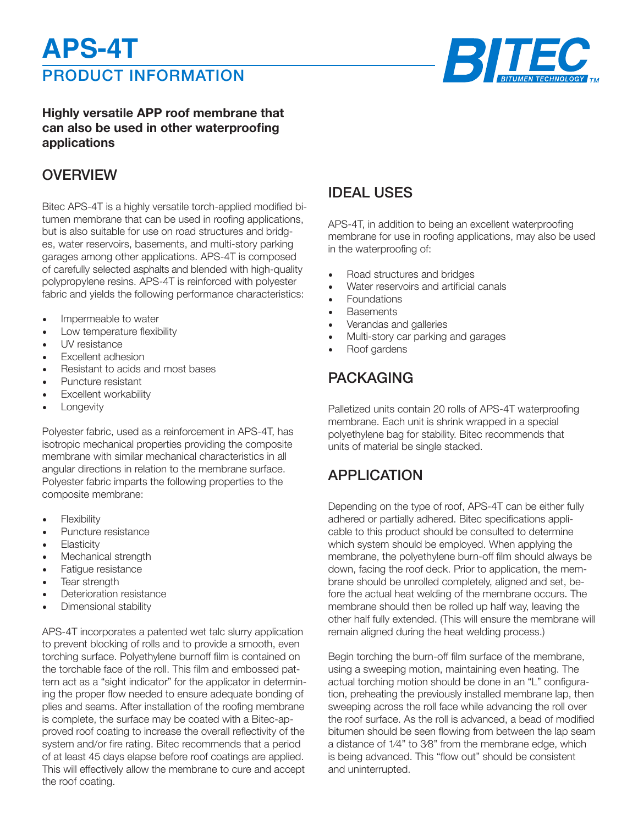# PRODUCT INFORMATION **APS-4T**



#### **Highly versatile APP roof membrane that can also be used in other waterproofing applications**

### **OVERVIEW**

Bitec APS-4T is a highly versatile torch-applied modified bitumen membrane that can be used in roofing applications, but is also suitable for use on road structures and bridges, water reservoirs, basements, and multi-story parking garages among other applications. APS-4T is composed of carefully selected asphalts and blended with high-quality polypropylene resins. APS-4T is reinforced with polyester fabric and yields the following performance characteristics:

- Impermeable to water
- Low temperature flexibility
- UV resistance
- Excellent adhesion
- Resistant to acids and most bases
- Puncture resistant
- Excellent workability
- **Longevity**

Polyester fabric, used as a reinforcement in APS-4T, has isotropic mechanical properties providing the composite membrane with similar mechanical characteristics in all angular directions in relation to the membrane surface. Polyester fabric imparts the following properties to the composite membrane:

- **Flexibility**
- Puncture resistance
- **Elasticity**
- Mechanical strength
- Fatigue resistance
- Tear strength
- Deterioration resistance
- Dimensional stability

APS-4T incorporates a patented wet talc slurry application to prevent blocking of rolls and to provide a smooth, even torching surface. Polyethylene burnoff film is contained on the torchable face of the roll. This film and embossed pattern act as a "sight indicator" for the applicator in determining the proper flow needed to ensure adequate bonding of plies and seams. After installation of the roofing membrane is complete, the surface may be coated with a Bitec-approved roof coating to increase the overall reflectivity of the system and/or fire rating. Bitec recommends that a period of at least 45 days elapse before roof coatings are applied. This will effectively allow the membrane to cure and accept the roof coating.

## IDEAL USES

APS-4T, in addition to being an excellent waterproofing membrane for use in roofing applications, may also be used in the waterproofing of:

- Road structures and bridges
- Water reservoirs and artificial canals
- **Foundations**
- **Basements**
- Verandas and galleries
- Multi-story car parking and garages
- Roof gardens

## PACKAGING

Palletized units contain 20 rolls of APS-4T waterproofing membrane. Each unit is shrink wrapped in a special polyethylene bag for stability. Bitec recommends that units of material be single stacked.

## APPLICATION

Depending on the type of roof, APS-4T can be either fully adhered or partially adhered. Bitec specifications applicable to this product should be consulted to determine which system should be employed. When applying the membrane, the polyethylene burn-off film should always be down, facing the roof deck. Prior to application, the membrane should be unrolled completely, aligned and set, before the actual heat welding of the membrane occurs. The membrane should then be rolled up half way, leaving the other half fully extended. (This will ensure the membrane will remain aligned during the heat welding process.)

Begin torching the burn-off film surface of the membrane, using a sweeping motion, maintaining even heating. The actual torching motion should be done in an "L" configuration, preheating the previously installed membrane lap, then sweeping across the roll face while advancing the roll over the roof surface. As the roll is advanced, a bead of modified bitumen should be seen flowing from between the lap seam a distance of 1⁄4" to 3⁄8" from the membrane edge, which is being advanced. This "flow out" should be consistent and uninterrupted.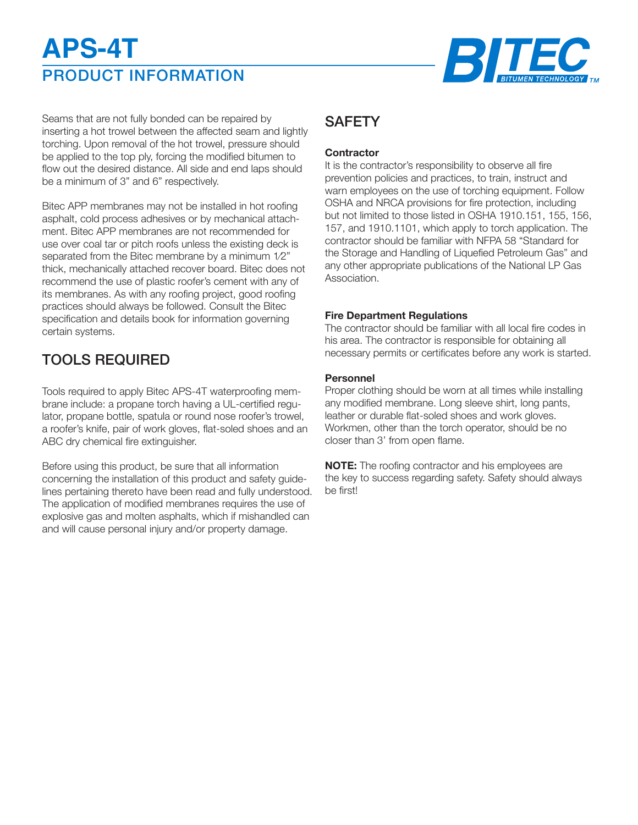# PRODUCT INFORMATION **APS-4T**



Seams that are not fully bonded can be repaired by inserting a hot trowel between the affected seam and lightly torching. Upon removal of the hot trowel, pressure should be applied to the top ply, forcing the modified bitumen to flow out the desired distance. All side and end laps should be a minimum of 3" and 6" respectively.

Bitec APP membranes may not be installed in hot roofing asphalt, cold process adhesives or by mechanical attachment. Bitec APP membranes are not recommended for use over coal tar or pitch roofs unless the existing deck is separated from the Bitec membrane by a minimum 1/2" thick, mechanically attached recover board. Bitec does not recommend the use of plastic roofer's cement with any of its membranes. As with any roofing project, good roofing practices should always be followed. Consult the Bitec specification and details book for information governing certain systems.

# TOOLS REQUIRED

Tools required to apply Bitec APS-4T waterproofing membrane include: a propane torch having a UL-certified regulator, propane bottle, spatula or round nose roofer's trowel, a roofer's knife, pair of work gloves, flat-soled shoes and an ABC dry chemical fire extinguisher.

Before using this product, be sure that all information concerning the installation of this product and safety guidelines pertaining thereto have been read and fully understood. The application of modified membranes requires the use of explosive gas and molten asphalts, which if mishandled can and will cause personal injury and/or property damage.

# **SAFETY**

#### **Contractor**

It is the contractor's responsibility to observe all fire prevention policies and practices, to train, instruct and warn employees on the use of torching equipment. Follow OSHA and NRCA provisions for fire protection, including but not limited to those listed in OSHA 1910.151, 155, 156, 157, and 1910.1101, which apply to torch application. The contractor should be familiar with NFPA 58 "Standard for the Storage and Handling of Liquefied Petroleum Gas" and any other appropriate publications of the National LP Gas Association.

#### **Fire Department Regulations**

The contractor should be familiar with all local fire codes in his area. The contractor is responsible for obtaining all necessary permits or certificates before any work is started.

#### **Personnel**

Proper clothing should be worn at all times while installing any modified membrane. Long sleeve shirt, long pants, leather or durable flat-soled shoes and work gloves. Workmen, other than the torch operator, should be no closer than 3' from open flame.

**NOTE:** The roofing contractor and his employees are the key to success regarding safety. Safety should always be first!